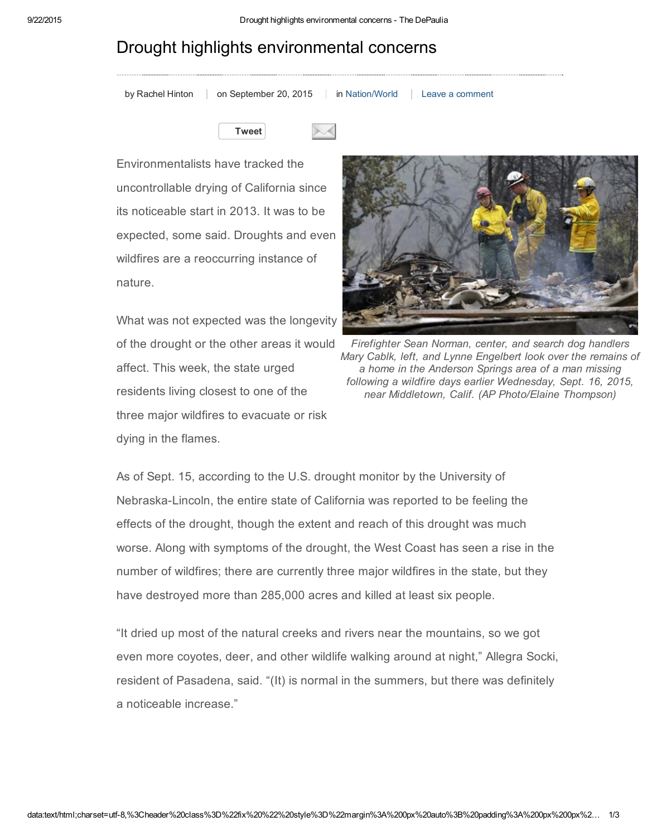## Drought highlights environmental concerns

| by Rachel Hinton | on Sep |
|------------------|--------|

but [Rachel](http://depauliaonline.com/byline/rachel-hinton/) Hinton on September 20, 2015 in [Nation/World](http://depauliaonline.com/topics/nation/) Leave a [comment](http://depauliaonline.com/nation/2015/09/20/drought-highlights-environmental-concerns/#respond)



Environmentalists have tracked the uncontrollable drying of California since its noticeable start in 2013. It was to be expected, some said. Droughts and even wildfires are a reoccurring instance of nature.

What was not expected was the longevity of the drought or the other areas it would affect. This week, the state urged residents living closest to one of the three major wildfires to evacuate or risk dying in the flames.



*Firefighter Sean Norman, center, and search dog handlers Mary Cablk, left, and Lynne Engelbert look over the remains of a home in the Anderson Springs area of a man missing following a wildfire days earlier Wednesday, Sept. 16, 2015, near Middletown, Calif. (AP Photo/Elaine Thompson)*

As of Sept. 15, according to the U.S. drought monitor by the University of NebraskaLincoln, the entire state of California was reported to be feeling the effects of the drought, though the extent and reach of this drought was much worse. Along with symptoms of the drought, the West Coast has seen a rise in the number of wildfires; there are currently three major wildfires in the state, but they have destroyed more than 285,000 acres and killed at least six people.

"It dried up most of the natural creeks and rivers near the mountains, so we got even more coyotes, deer, and other wildlife walking around at night," Allegra Socki, resident of Pasadena, said. "(It) is normal in the summers, but there was definitely a noticeable increase."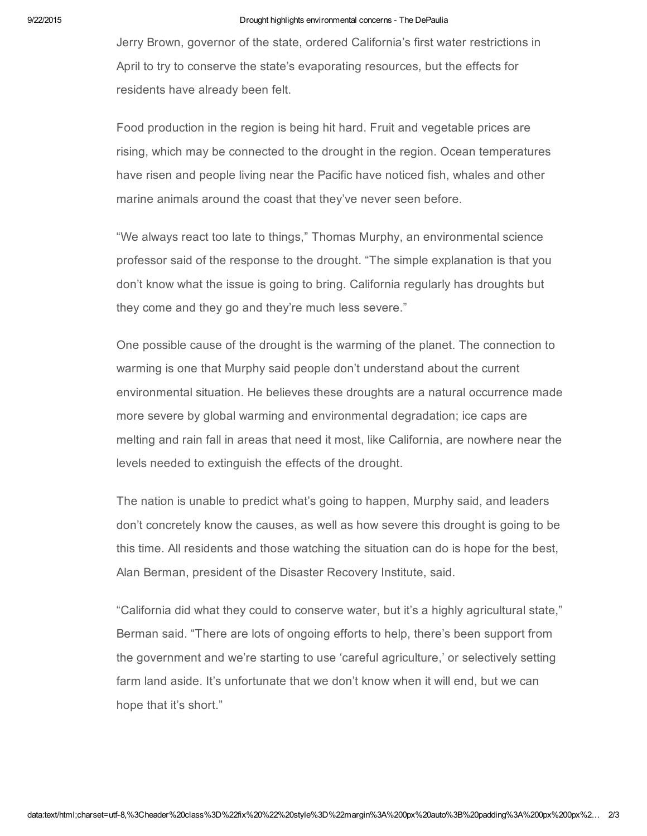## 9/22/2015 Drought highlights environmental concerns The DePaulia

Jerry Brown, governor of the state, ordered California's first water restrictions in April to try to conserve the state's evaporating resources, but the effects for residents have already been felt.

Food production in the region is being hit hard. Fruit and vegetable prices are rising, which may be connected to the drought in the region. Ocean temperatures have risen and people living near the Pacific have noticed fish, whales and other marine animals around the coast that they've never seen before.

"We always react too late to things," Thomas Murphy, an environmental science professor said of the response to the drought. "The simple explanation is that you don't know what the issue is going to bring. California regularly has droughts but they come and they go and they're much less severe."

One possible cause of the drought is the warming of the planet. The connection to warming is one that Murphy said people don't understand about the current environmental situation. He believes these droughts are a natural occurrence made more severe by global warming and environmental degradation; ice caps are melting and rain fall in areas that need it most, like California, are nowhere near the levels needed to extinguish the effects of the drought.

The nation is unable to predict what's going to happen, Murphy said, and leaders don't concretely know the causes, as well as how severe this drought is going to be this time. All residents and those watching the situation can do is hope for the best, Alan Berman, president of the Disaster Recovery Institute, said.

"California did what they could to conserve water, but it's a highly agricultural state," Berman said. "There are lots of ongoing efforts to help, there's been support from the government and we're starting to use 'careful agriculture,' or selectively setting farm land aside. It's unfortunate that we don't know when it will end, but we can hope that it's short."